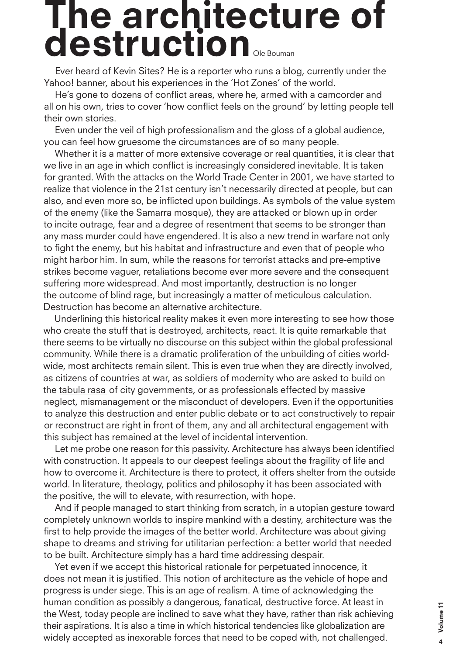## **The architecture of destruction** Ole Bouman

Ever heard of Kevin Sites? He is a reporter who runs a blog, currently under the Yahoo! banner, about his experiences in the 'Hot Zones' of the world.

He's gone to dozens of conflict areas, where he, armed with a camcorder and all on his own, tries to cover 'how conflict feels on the ground' by letting people tell their own stories.

Even under the veil of high professionalism and the gloss of a global audience, you can feel how gruesome the circumstances are of so many people.

Whether it is a matter of more extensive coverage or real quantities, it is clear that we live in an age in which conflict is increasingly considered inevitable. It is taken for granted. With the attacks on the World Trade Center in 2001, we have started to realize that violence in the 21st century isn't necessarily directed at people, but can also, and even more so, be inflicted upon buildings. As symbols of the value system of the enemy (like the Samarra mosque), they are attacked or blown up in order to incite outrage, fear and a degree of resentment that seems to be stronger than any mass murder could have engendered. It is also a new trend in warfare not only to fight the enemy, but his habitat and infrastructure and even that of people who might harbor him. In sum, while the reasons for terrorist attacks and pre-emptive strikes become vaguer, retaliations become ever more severe and the consequent suffering more widespread. And most importantly, destruction is no longer the outcome of blind rage, but increasingly a matter of meticulous calculation. Destruction has become an alternative architecture.

Underlining this historical reality makes it even more interesting to see how those who create the stuff that is destroyed, architects, react. It is quite remarkable that there seems to be virtually no discourse on this subject within the global professional community. While there is a dramatic proliferation of the unbuilding of cities worldwide, most architects remain silent. This is even true when they are directly involved, as citizens of countries at war, as soldiers of modernity who are asked to build on the tabula rasa of city governments, or as professionals effected by massive neglect, mismanagement or the misconduct of developers. Even if the opportunities to analyze this destruction and enter public debate or to act constructively to repair or reconstruct are right in front of them, any and all architectural engagement with this subject has remained at the level of incidental intervention.

Let me probe one reason for this passivity. Architecture has always been identified with construction. It appeals to our deepest feelings about the fragility of life and how to overcome it. Architecture is there to protect, it offers shelter from the outside world. In literature, theology, politics and philosophy it has been associated with the positive, the will to elevate, with resurrection, with hope.

And if people managed to start thinking from scratch, in a utopian gesture toward completely unknown worlds to inspire mankind with a destiny, architecture was the first to help provide the images of the better world. Architecture was about giving shape to dreams and striving for utilitarian perfection: a better world that needed to be built. Architecture simply has a hard time addressing despair.

Yet even if we accept this historical rationale for perpetuated innocence, it does not mean it is justified. This notion of architecture as the vehicle of hope and progress is under siege. This is an age of realism. A time of acknowledging the human condition as possibly a dangerous, fanatical, destructive force. At least in the West, today people are inclined to save what they have, rather than risk achieving their aspirations. It is also a time in which historical tendencies like globalization are muman condition as possibly a dangerous, fanalical, destructive force. At least in<br>the West, today people are inclined to save what they have, rather than risk achieving<br>their aspirations. It is also a time in which histo